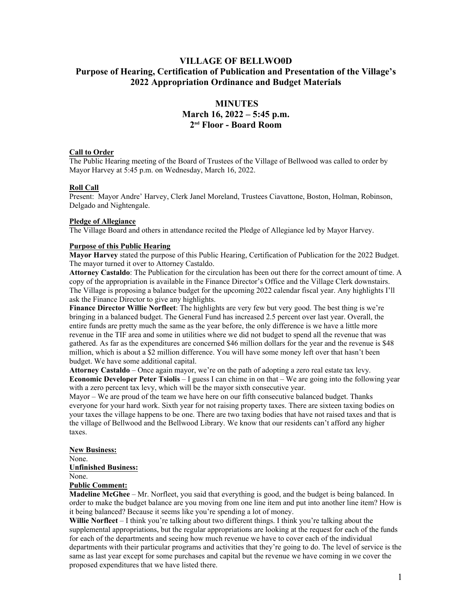## **VILLAGE OF BELLWO0D Purpose of Hearing, Certification of Publication and Presentation of the Village's 2022 Appropriation Ordinance and Budget Materials**

# **MINUTES March 16, 2022 – 5:45 p.m. 2 nd Floor - Board Room**

#### **Call to Order**

The Public Hearing meeting of the Board of Trustees of the Village of Bellwood was called to order by Mayor Harvey at 5:45 p.m. on Wednesday, March 16, 2022.

### **Roll Call**

Present: Mayor Andre' Harvey, Clerk Janel Moreland, Trustees Ciavattone, Boston, Holman, Robinson, Delgado and Nightengale.

#### **Pledge of Allegiance**

The Village Board and others in attendance recited the Pledge of Allegiance led by Mayor Harvey.

#### **Purpose of this Public Hearing**

**Mayor Harvey** stated the purpose of this Public Hearing, Certification of Publication for the 2022 Budget. The mayor turned it over to Attorney Castaldo.

**Attorney Castaldo**: The Publication for the circulation has been out there for the correct amount of time. A copy of the appropriation is available in the Finance Director's Office and the Village Clerk downstairs. The Village is proposing a balance budget for the upcoming 2022 calendar fiscal year. Any highlights I'll ask the Finance Director to give any highlights.

**Finance Director Willie Norfleet**: The highlights are very few but very good. The best thing is we're bringing in a balanced budget. The General Fund has increased 2.5 percent over last year. Overall, the entire funds are pretty much the same as the year before, the only difference is we have a little more revenue in the TIF area and some in utilities where we did not budget to spend all the revenue that was gathered. As far as the expenditures are concerned \$46 million dollars for the year and the revenue is \$48 million, which is about a \$2 million difference. You will have some money left over that hasn't been budget. We have some additional capital.

**Attorney Castaldo** – Once again mayor, we're on the path of adopting a zero real estate tax levy. **Economic Developer Peter Tsiolis** – I guess I can chime in on that – We are going into the following year with a zero percent tax levy, which will be the mayor sixth consecutive year.

Mayor – We are proud of the team we have here on our fifth consecutive balanced budget. Thanks everyone for your hard work. Sixth year for not raising property taxes. There are sixteen taxing bodies on your taxes the village happens to be one. There are two taxing bodies that have not raised taxes and that is the village of Bellwood and the Bellwood Library. We know that our residents can't afford any higher taxes.

#### **New Business:** None. **Unfinished Business:** None.

# **Public Comment:**

**Madeline McGhee** – Mr. Norfleet, you said that everything is good, and the budget is being balanced. In order to make the budget balance are you moving from one line item and put into another line item? How is it being balanced? Because it seems like you're spending a lot of money.

**Willie Norfleet** – I think you're talking about two different things. I think you're talking about the supplemental appropriations, but the regular appropriations are looking at the request for each of the funds for each of the departments and seeing how much revenue we have to cover each of the individual departments with their particular programs and activities that they're going to do. The level of service is the same as last year except for some purchases and capital but the revenue we have coming in we cover the proposed expenditures that we have listed there.